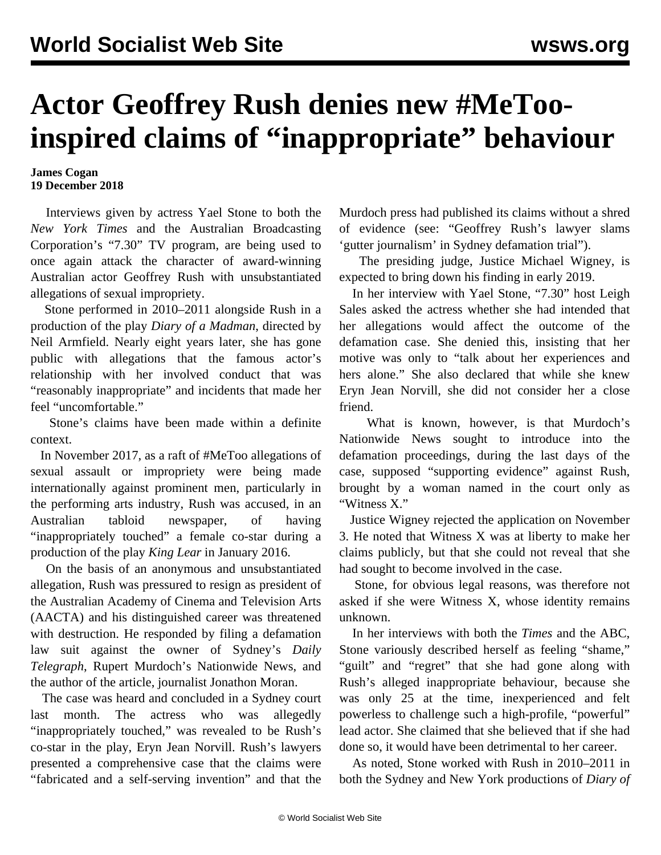## **Actor Geoffrey Rush denies new #MeTooinspired claims of "inappropriate" behaviour**

## **James Cogan 19 December 2018**

 Interviews given by actress Yael Stone to both the *New York Times* and the Australian Broadcasting Corporation's "7.30" TV program, are being used to once again attack the character of award-winning Australian actor Geoffrey Rush with unsubstantiated allegations of sexual impropriety.

 Stone performed in 2010–2011 alongside Rush in a production of the play *Diary of a Madman*, directed by Neil Armfield. Nearly eight years later, she has gone public with allegations that the famous actor's relationship with her involved conduct that was "reasonably inappropriate" and incidents that made her feel "uncomfortable."

 Stone's claims have been made within a definite context.

 In November 2017, as a raft of #MeToo allegations of sexual assault or impropriety were being made internationally against prominent men, particularly in the performing arts industry, Rush was accused, in an Australian tabloid newspaper, of having "inappropriately touched" a female co-star during a production of the play *King Lear* in January 2016.

 On the basis of an anonymous and unsubstantiated allegation, Rush was pressured to resign as president of the Australian Academy of Cinema and Television Arts (AACTA) and his distinguished career was threatened with destruction. He responded by filing a defamation law suit against the owner of Sydney's *Daily Telegraph*, Rupert Murdoch's Nationwide News, and the author of the article, journalist Jonathon Moran.

 The case was heard and concluded in a Sydney court last month. The actress who was allegedly "inappropriately touched," was revealed to be Rush's co-star in the play, Eryn Jean Norvill. Rush's lawyers presented a comprehensive case that the claims were "fabricated and a self-serving invention" and that the Murdoch press had published its claims without a shred of evidence (see: ["Geoffrey Rush's lawyer slams](/en/articles/2018/11/15/rush-n15.html) ['gutter journalism' in Sydney defamation trial](/en/articles/2018/11/15/rush-n15.html)").

 The presiding judge, Justice Michael Wigney, is expected to bring down his finding in early 2019.

 In her interview with Yael Stone, "7.30" host Leigh Sales asked the actress whether she had intended that her allegations would affect the outcome of the defamation case. She denied this, insisting that her motive was only to "talk about her experiences and hers alone." She also declared that while she knew Eryn Jean Norvill, she did not consider her a close friend.

 What is known, however, is that Murdoch's Nationwide News sought to introduce into the defamation proceedings, during the last days of the case, supposed "supporting evidence" against Rush, brought by a woman named in the court only as "Witness X."

 Justice Wigney [rejected the application](/en/articles/2018/11/06/rush-n06.html) on November 3. He noted that Witness X was at liberty to make her claims publicly, but that she could not reveal that she had sought to become involved in the case.

 Stone, for obvious legal reasons, was therefore not asked if she were Witness X, whose identity remains unknown.

 In her interviews with both the *Times* and the ABC, Stone variously described herself as feeling "shame," "guilt" and "regret" that she had gone along with Rush's alleged inappropriate behaviour, because she was only 25 at the time, inexperienced and felt powerless to challenge such a high-profile, "powerful" lead actor. She claimed that she believed that if she had done so, it would have been detrimental to her career.

 As noted, Stone worked with Rush in 2010–2011 in both the Sydney and New York productions of *Diary of*